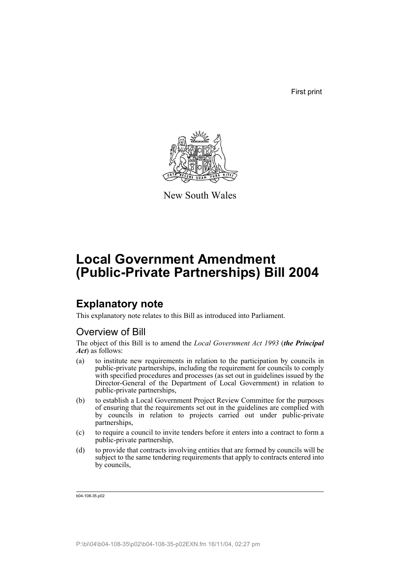First print



New South Wales

# **Local Government Amendment (Public-Private Partnerships) Bill 2004**

# **Explanatory note**

This explanatory note relates to this Bill as introduced into Parliament.

## Overview of Bill

The object of this Bill is to amend the *Local Government Act 1993* (*the Principal Act*) as follows:

- (a) to institute new requirements in relation to the participation by councils in public-private partnerships, including the requirement for councils to comply with specified procedures and processes (as set out in guidelines issued by the Director-General of the Department of Local Government) in relation to public-private partnerships,
- (b) to establish a Local Government Project Review Committee for the purposes of ensuring that the requirements set out in the guidelines are complied with by councils in relation to projects carried out under public-private partnerships,
- (c) to require a council to invite tenders before it enters into a contract to form a public-private partnership,
- (d) to provide that contracts involving entities that are formed by councils will be subject to the same tendering requirements that apply to contracts entered into by councils,

b04-108-35.p02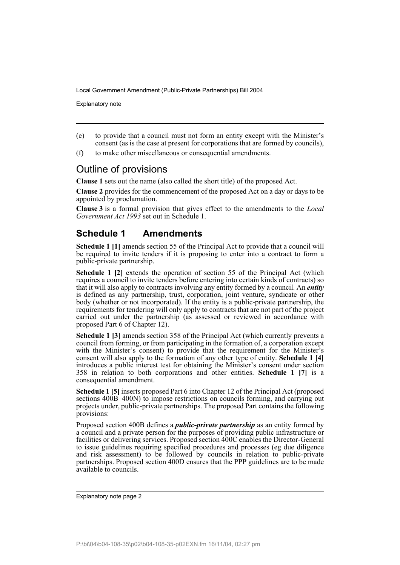Explanatory note

- (e) to provide that a council must not form an entity except with the Minister's consent (as is the case at present for corporations that are formed by councils),
- (f) to make other miscellaneous or consequential amendments.

### Outline of provisions

**Clause 1** sets out the name (also called the short title) of the proposed Act.

**Clause 2** provides for the commencement of the proposed Act on a day or days to be appointed by proclamation.

**Clause 3** is a formal provision that gives effect to the amendments to the *Local Government Act 1993* set out in Schedule 1.

#### **Schedule 1 Amendments**

**Schedule 1 [1]** amends section 55 of the Principal Act to provide that a council will be required to invite tenders if it is proposing to enter into a contract to form a public-private partnership.

**Schedule 1 [2]** extends the operation of section 55 of the Principal Act (which requires a council to invite tenders before entering into certain kinds of contracts) so that it will also apply to contracts involving any entity formed by a council. An *entity* is defined as any partnership, trust, corporation, joint venture, syndicate or other body (whether or not incorporated). If the entity is a public-private partnership, the requirements for tendering will only apply to contracts that are not part of the project carried out under the partnership (as assessed or reviewed in accordance with proposed Part 6 of Chapter 12).

**Schedule 1 [3]** amends section 358 of the Principal Act (which currently prevents a council from forming, or from participating in the formation of, a corporation except with the Minister's consent) to provide that the requirement for the Minister's consent will also apply to the formation of any other type of entity. **Schedule 1 [4]** introduces a public interest test for obtaining the Minister's consent under section 358 in relation to both corporations and other entities. **Schedule 1 [7]** is a consequential amendment.

**Schedule 1 [5]** inserts proposed Part 6 into Chapter 12 of the Principal Act (proposed sections 400B–400N) to impose restrictions on councils forming, and carrying out projects under, public-private partnerships. The proposed Part contains the following provisions:

Proposed section 400B defines a *public-private partnership* as an entity formed by a council and a private person for the purposes of providing public infrastructure or facilities or delivering services. Proposed section 400C enables the Director-General to issue guidelines requiring specified procedures and processes (eg due diligence and risk assessment) to be followed by councils in relation to public-private partnerships. Proposed section 400D ensures that the PPP guidelines are to be made available to councils.

Explanatory note page 2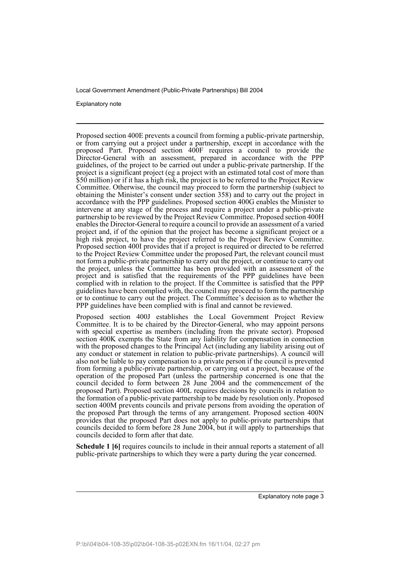Explanatory note

Proposed section 400E prevents a council from forming a public-private partnership, or from carrying out a project under a partnership, except in accordance with the proposed Part. Proposed section 400F requires a council to provide the Director-General with an assessment, prepared in accordance with the PPP guidelines, of the project to be carried out under a public-private partnership. If the project is a significant project (eg a project with an estimated total cost of more than \$50 million) or if it has a high risk, the project is to be referred to the Project Review Committee. Otherwise, the council may proceed to form the partnership (subject to obtaining the Minister's consent under section 358) and to carry out the project in accordance with the PPP guidelines. Proposed section 400G enables the Minister to intervene at any stage of the process and require a project under a public-private partnership to be reviewed by the Project Review Committee. Proposed section 400H enables the Director-General to require a council to provide an assessment of a varied project and, if of the opinion that the project has become a significant project or a high risk project, to have the project referred to the Project Review Committee. Proposed section 400I provides that if a project is required or directed to be referred to the Project Review Committee under the proposed Part, the relevant council must not form a public-private partnership to carry out the project, or continue to carry out the project, unless the Committee has been provided with an assessment of the project and is satisfied that the requirements of the PPP guidelines have been complied with in relation to the project. If the Committee is satisfied that the PPP guidelines have been complied with, the council may proceed to form the partnership or to continue to carry out the project. The Committee's decision as to whether the PPP guidelines have been complied with is final and cannot be reviewed.

Proposed section 400J establishes the Local Government Project Review Committee. It is to be chaired by the Director-General, who may appoint persons with special expertise as members (including from the private sector). Proposed section 400K exempts the State from any liability for compensation in connection with the proposed changes to the Principal Act (including any liability arising out of any conduct or statement in relation to public-private partnerships). A council will also not be liable to pay compensation to a private person if the council is prevented from forming a public-private partnership, or carrying out a project, because of the operation of the proposed Part (unless the partnership concerned is one that the council decided to form between 28 June 2004 and the commencement of the proposed Part). Proposed section 400L requires decisions by councils in relation to the formation of a public-private partnership to be made by resolution only. Proposed section 400M prevents councils and private persons from avoiding the operation of the proposed Part through the terms of any arrangement. Proposed section 400N provides that the proposed Part does not apply to public-private partnerships that councils decided to form before 28 June 2004, but it will apply to partnerships that councils decided to form after that date.

**Schedule 1 [6]** requires councils to include in their annual reports a statement of all public-private partnerships to which they were a party during the year concerned.

Explanatory note page 3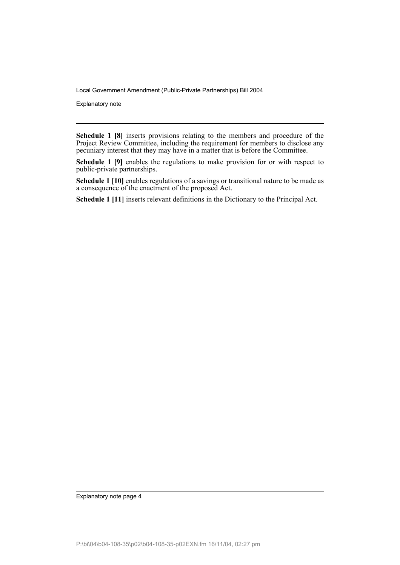Explanatory note

**Schedule 1 [8]** inserts provisions relating to the members and procedure of the Project Review Committee, including the requirement for members to disclose any pecuniary interest that they may have in a matter that is before the Committee.

**Schedule 1 [9]** enables the regulations to make provision for or with respect to public-private partnerships.

**Schedule 1 [10]** enables regulations of a savings or transitional nature to be made as a consequence of the enactment of the proposed Act.

**Schedule 1 [11]** inserts relevant definitions in the Dictionary to the Principal Act.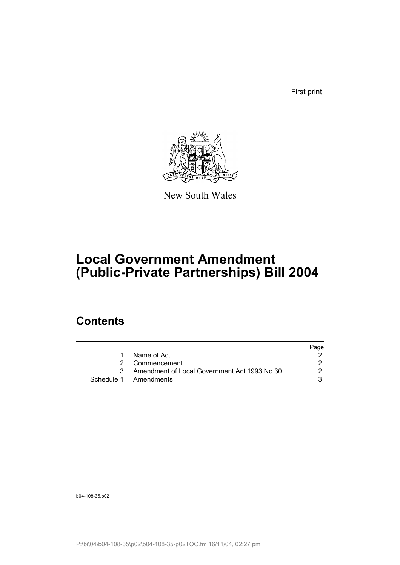First print



New South Wales

# **Local Government Amendment (Public-Private Partnerships) Bill 2004**

# **Contents**

|                                                | Page |
|------------------------------------------------|------|
| 1 Name of Act                                  |      |
| 2 Commencement                                 |      |
| 3 Amendment of Local Government Act 1993 No 30 | 2    |
| Schedule 1 Amendments                          |      |

b04-108-35.p02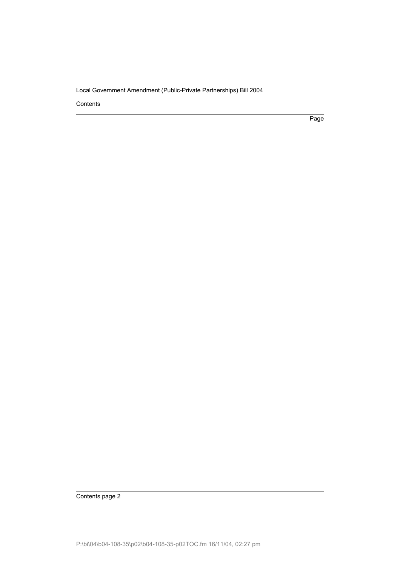Contents

Page

Contents page 2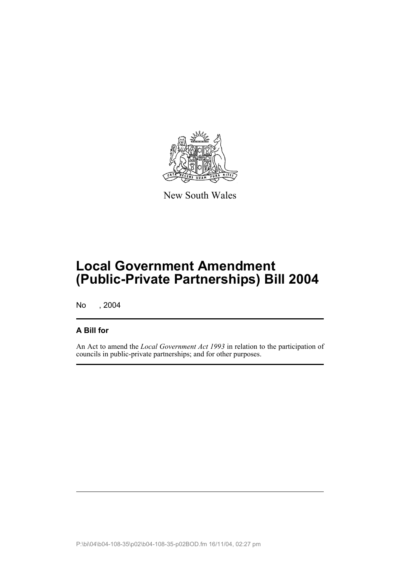

New South Wales

# **Local Government Amendment (Public-Private Partnerships) Bill 2004**

No , 2004

#### **A Bill for**

An Act to amend the *Local Government Act 1993* in relation to the participation of councils in public-private partnerships; and for other purposes.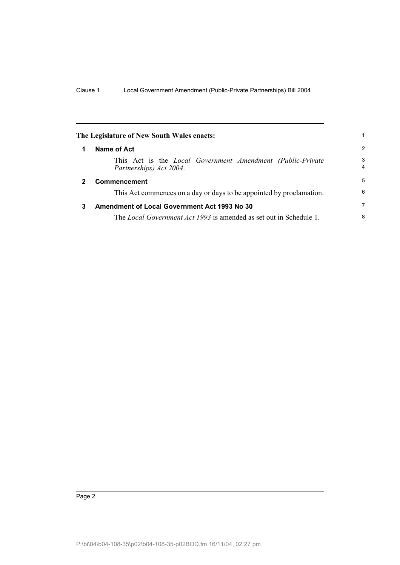| The Legislature of New South Wales enacts: |                                                                                              |                     |  |  |
|--------------------------------------------|----------------------------------------------------------------------------------------------|---------------------|--|--|
| 1                                          | Name of Act                                                                                  | $\overline{2}$      |  |  |
|                                            | This Act is the <i>Local Government Amendment (Public-Private</i><br>Partnerships) Act 2004. | 3<br>$\overline{4}$ |  |  |
| $\mathbf{2}$                               | Commencement                                                                                 | 5                   |  |  |
|                                            | This Act commences on a day or days to be appointed by proclamation.                         | 6                   |  |  |
| 3                                          | <b>Amendment of Local Government Act 1993 No 30</b>                                          | 7                   |  |  |
|                                            | The Local Government Act 1993 is amended as set out in Schedule 1.                           | 8                   |  |  |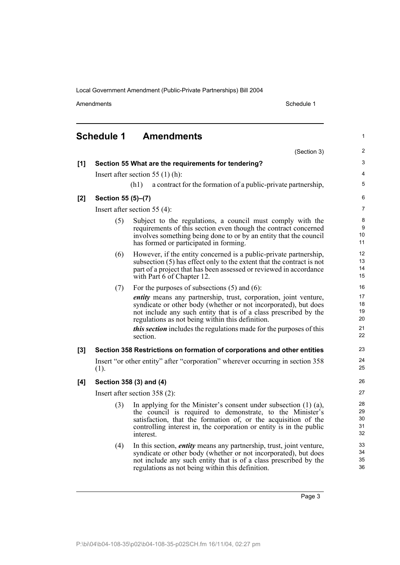Amendments Schedule 1

|     | <b>Schedule 1</b><br><b>Amendments</b> |                                                                                                                                                                                                                                                                                          |                            |
|-----|----------------------------------------|------------------------------------------------------------------------------------------------------------------------------------------------------------------------------------------------------------------------------------------------------------------------------------------|----------------------------|
|     |                                        | (Section 3)                                                                                                                                                                                                                                                                              | $\overline{2}$             |
| [1] |                                        | Section 55 What are the requirements for tendering?                                                                                                                                                                                                                                      | 3                          |
|     |                                        | Insert after section 55 $(1)$ (h):                                                                                                                                                                                                                                                       | $\overline{4}$             |
|     |                                        | a contract for the formation of a public-private partnership,<br>(h1)                                                                                                                                                                                                                    | 5                          |
| [2] | Section 55 (5)-(7)                     |                                                                                                                                                                                                                                                                                          | 6                          |
|     |                                        | Insert after section 55 $(4)$ :                                                                                                                                                                                                                                                          | $\overline{7}$             |
|     | (5)                                    | Subject to the regulations, a council must comply with the<br>requirements of this section even though the contract concerned<br>involves something being done to or by an entity that the council<br>has formed or participated in forming.                                             | 8<br>9<br>10<br>11         |
|     | (6)                                    | However, if the entity concerned is a public-private partnership,<br>subsection $(5)$ has effect only to the extent that the contract is not<br>part of a project that has been assessed or reviewed in accordance<br>with Part 6 of Chapter 12.                                         | 12<br>13<br>14<br>15       |
|     | (7)                                    | For the purposes of subsections $(5)$ and $(6)$ :                                                                                                                                                                                                                                        | 16                         |
|     |                                        | <i>entity</i> means any partnership, trust, corporation, joint venture,<br>syndicate or other body (whether or not incorporated), but does<br>not include any such entity that is of a class prescribed by the<br>regulations as not being within this definition.                       | $17\,$<br>18<br>19<br>20   |
|     |                                        | <i>this section</i> includes the regulations made for the purposes of this<br>section.                                                                                                                                                                                                   | 21<br>22                   |
| [3] |                                        | Section 358 Restrictions on formation of corporations and other entities                                                                                                                                                                                                                 | 23                         |
|     | (1).                                   | Insert "or other entity" after "corporation" wherever occurring in section 358                                                                                                                                                                                                           | 24<br>25                   |
| [4] |                                        | Section 358 (3) and (4)                                                                                                                                                                                                                                                                  | 26                         |
|     |                                        | Insert after section 358 (2):                                                                                                                                                                                                                                                            | 27                         |
|     | (3)                                    | In applying for the Minister's consent under subsection $(1)$ $(a)$ ,<br>the council is required to demonstrate, to the Minister's<br>satisfaction, that the formation of, or the acquisition of the<br>controlling interest in, the corporation or entity is in the public<br>interest. | 28<br>29<br>30<br>31<br>32 |
|     | (4)                                    | In this section, <i>entity</i> means any partnership, trust, joint venture,<br>syndicate or other body (whether or not incorporated), but does<br>not include any such entity that is of a class prescribed by the<br>regulations as not being within this definition.                   | 33<br>34<br>35<br>36       |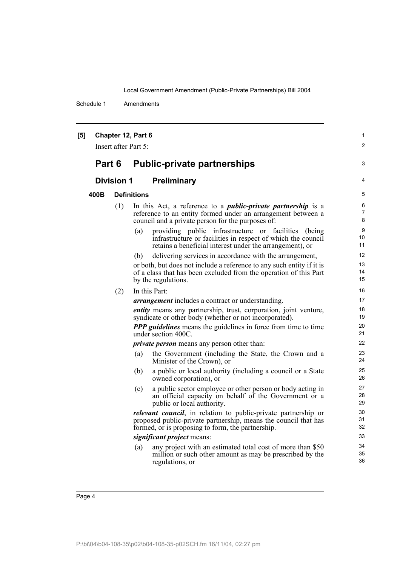| [5] | Chapter 12, Part 6<br>Insert after Part 5: |                   |                                                                                                                                                                                                |                          |  |
|-----|--------------------------------------------|-------------------|------------------------------------------------------------------------------------------------------------------------------------------------------------------------------------------------|--------------------------|--|
|     | Part 6                                     |                   | <b>Public-private partnerships</b>                                                                                                                                                             | 3                        |  |
|     |                                            | <b>Division 1</b> | <b>Preliminary</b>                                                                                                                                                                             | 4                        |  |
|     | 400B                                       |                   | <b>Definitions</b>                                                                                                                                                                             | 5                        |  |
|     |                                            | (1)               | In this Act, a reference to a <i>public-private partnership</i> is a<br>reference to an entity formed under an arrangement between a<br>council and a private person for the purposes of:      | 6<br>$\overline{7}$<br>8 |  |
|     |                                            |                   | providing public infrastructure or facilities (being<br>(a)<br>infrastructure or facilities in respect of which the council<br>retains a beneficial interest under the arrangement), or        | 9<br>10<br>11            |  |
|     |                                            |                   | delivering services in accordance with the arrangement,<br>(b)                                                                                                                                 | 12                       |  |
|     |                                            |                   | or both, but does not include a reference to any such entity if it is<br>of a class that has been excluded from the operation of this Part<br>by the regulations.                              | 13<br>14<br>15           |  |
|     |                                            | (2)               | In this Part:                                                                                                                                                                                  | 16                       |  |
|     |                                            |                   | <i>arrangement</i> includes a contract or understanding.                                                                                                                                       | 17                       |  |
|     |                                            |                   | <i>entity</i> means any partnership, trust, corporation, joint venture,<br>syndicate or other body (whether or not incorporated).                                                              | 18<br>19                 |  |
|     |                                            |                   | <b>PPP guidelines</b> means the guidelines in force from time to time<br>under section $400C$ .                                                                                                | 20<br>21                 |  |
|     |                                            |                   | <i>private person</i> means any person other than:                                                                                                                                             | 22                       |  |
|     |                                            |                   | the Government (including the State, the Crown and a<br>(a)<br>Minister of the Crown), or                                                                                                      | 23<br>24                 |  |
|     |                                            |                   | a public or local authority (including a council or a State<br>(b)<br>owned corporation), or                                                                                                   | 25<br>26                 |  |
|     |                                            |                   | a public sector employee or other person or body acting in<br>(c)<br>an official capacity on behalf of the Government or a<br>public or local authority.                                       | 27<br>28<br>29           |  |
|     |                                            |                   | <i>relevant council</i> , in relation to public-private partnership or<br>proposed public-private partnership, means the council that has<br>formed, or is proposing to form, the partnership. | 30<br>31<br>32           |  |
|     |                                            |                   | significant project means:                                                                                                                                                                     | 33                       |  |
|     |                                            |                   | any project with an estimated total cost of more than \$50<br>(a)<br>million or such other amount as may be prescribed by the<br>regulations, or                                               | 34<br>35<br>36           |  |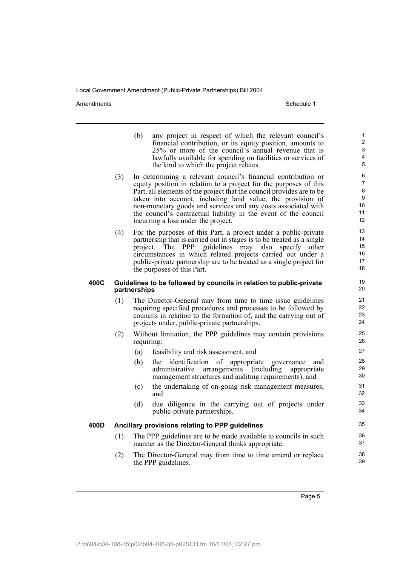Amendments Schedule 1

|      |     | (b)<br>any project in respect of which the relevant council's<br>financial contribution, or its equity position, amounts to<br>25% or more of the council's annual revenue that is<br>lawfully available for spending on facilities or services of<br>the kind to which the project relates.                                                                                                                                                         | $\mathbf{1}$<br>$\overline{c}$<br>$\mathsf 3$<br>4<br>5 |
|------|-----|------------------------------------------------------------------------------------------------------------------------------------------------------------------------------------------------------------------------------------------------------------------------------------------------------------------------------------------------------------------------------------------------------------------------------------------------------|---------------------------------------------------------|
|      | (3) | In determining a relevant council's financial contribution or<br>equity position in relation to a project for the purposes of this<br>Part, all elements of the project that the council provides are to be<br>taken into account, including land value, the provision of<br>non-monetary goods and services and any costs associated with<br>the council's contractual liability in the event of the council<br>incurring a loss under the project. | 6<br>$\overline{7}$<br>8<br>9<br>10<br>11<br>12         |
|      | (4) | For the purposes of this Part, a project under a public-private<br>partnership that is carried out in stages is to be treated as a single<br>The PPP guidelines may<br>specify other<br>project.<br>also<br>circumstances in which related projects carried out under a<br>public-private partnership are to be treated as a single project for<br>the purposes of this Part.                                                                        | 13<br>14<br>15<br>16<br>17<br>18                        |
| 400C |     | Guidelines to be followed by councils in relation to public-private<br>partnerships                                                                                                                                                                                                                                                                                                                                                                  | 19<br>20                                                |
|      | (1) | The Director-General may from time to time issue guidelines<br>requiring specified procedures and processes to be followed by<br>councils in relation to the formation of, and the carrying out of<br>projects under, public-private partnerships.                                                                                                                                                                                                   | 21<br>22<br>23<br>24                                    |
|      | (2) | Without limitation, the PPP guidelines may contain provisions<br>requiring:                                                                                                                                                                                                                                                                                                                                                                          | 25<br>26                                                |
|      |     | (a)<br>feasibility and risk assessment, and                                                                                                                                                                                                                                                                                                                                                                                                          | 27                                                      |
|      |     | (b)<br>the identification of appropriate governance<br>and<br>administrative<br>arrangements (including)<br>appropriate<br>management structures and auditing requirements), and                                                                                                                                                                                                                                                                     | 28<br>29<br>30                                          |
|      |     | (c)<br>the undertaking of on-going risk management measures,<br>and                                                                                                                                                                                                                                                                                                                                                                                  | 31<br>32                                                |
|      |     | (d)<br>due diligence in the carrying out of projects under<br>public-private partnerships.                                                                                                                                                                                                                                                                                                                                                           | 33<br>34                                                |
| 400D |     | Ancillary provisions relating to PPP guidelines                                                                                                                                                                                                                                                                                                                                                                                                      | 35                                                      |
|      | (1) | The PPP guidelines are to be made available to councils in such<br>manner as the Director-General thinks appropriate.                                                                                                                                                                                                                                                                                                                                | 36<br>37                                                |
|      | (2) | The Director-General may from time to time amend or replace<br>the PPP guidelines.                                                                                                                                                                                                                                                                                                                                                                   | 38<br>39                                                |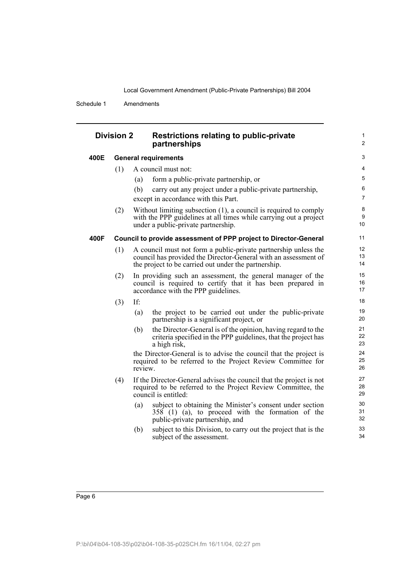Schedule 1 Amendments

| <b>Division 2</b> |     | <b>Restrictions relating to public-private</b><br>partnerships                                                                                                                  |
|-------------------|-----|---------------------------------------------------------------------------------------------------------------------------------------------------------------------------------|
| 400E              |     | <b>General requirements</b>                                                                                                                                                     |
|                   | (1) | A council must not:<br>form a public-private partnership, or<br>(a)<br>carry out any project under a public-private partnership,<br>(b)<br>except in accordance with this Part. |
|                   | (2) | Without limiting subsection $(1)$ , a council is required to comply<br>with the PPP guidelines at all times while carrying out a project<br>under a public-private partnership. |

#### **400F Council to provide assessment of PPP project to Director-General**

- (1) A council must not form a public-private partnership unless the council has provided the Director-General with an assessment of the project to be carried out under the partnership.
- (2) In providing such an assessment, the general manager of the council is required to certify that it has been prepared in accordance with the PPP guidelines.
- (3) If:
	- (a) the project to be carried out under the public-private partnership is a significant project, or
	- (b) the Director-General is of the opinion, having regard to the criteria specified in the PPP guidelines, that the project has a high risk,

the Director-General is to advise the council that the project is required to be referred to the Project Review Committee for review.

- (4) If the Director-General advises the council that the project is not required to be referred to the Project Review Committee, the council is entitled:
	- (a) subject to obtaining the Minister's consent under section 358 (1) (a), to proceed with the formation of the public-private partnership, and
	- (b) subject to this Division, to carry out the project that is the subject of the assessment.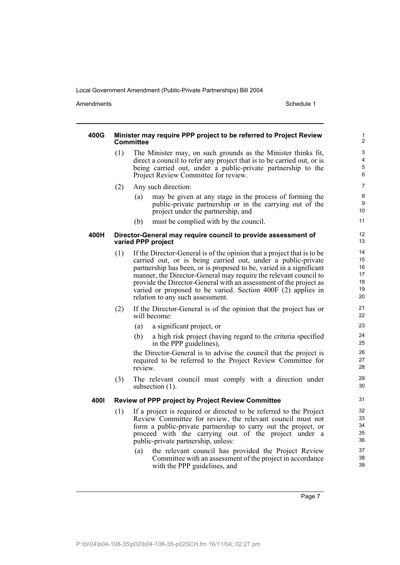Amendments Schedule 1

| 400G |     | Minister may require PPP project to be referred to Project Review<br>Committee                                                                                                                                                                                                                                                                                                                                                                                | $\mathbf{1}$<br>2                            |
|------|-----|---------------------------------------------------------------------------------------------------------------------------------------------------------------------------------------------------------------------------------------------------------------------------------------------------------------------------------------------------------------------------------------------------------------------------------------------------------------|----------------------------------------------|
|      | (1) | The Minister may, on such grounds as the Minister thinks fit,<br>direct a council to refer any project that is to be carried out, or is<br>being carried out, under a public-private partnership to the<br>Project Review Committee for review.                                                                                                                                                                                                               | 3<br>4<br>5<br>6                             |
|      | (2) | Any such direction:                                                                                                                                                                                                                                                                                                                                                                                                                                           | 7                                            |
|      |     | may be given at any stage in the process of forming the<br>(a)<br>public-private partnership or in the carrying out of the<br>project under the partnership, and                                                                                                                                                                                                                                                                                              | 8<br>9<br>10                                 |
|      |     | must be complied with by the council.<br>(b)                                                                                                                                                                                                                                                                                                                                                                                                                  | 11                                           |
| 400H |     | Director-General may require council to provide assessment of<br>varied PPP project                                                                                                                                                                                                                                                                                                                                                                           | 12<br>13                                     |
|      | (1) | If the Director-General is of the opinion that a project that is to be<br>carried out, or is being carried out, under a public-private<br>partnership has been, or is proposed to be, varied in a significant<br>manner, the Director-General may require the relevant council to<br>provide the Director-General with an assessment of the project as<br>varied or proposed to be varied. Section 400F (2) applies in<br>relation to any such assessment.    | 14<br>15<br>16<br>17<br>18<br>19<br>20       |
|      | (2) | If the Director-General is of the opinion that the project has or<br>will become:<br>(a)<br>a significant project, or<br>(b)<br>a high risk project (having regard to the criteria specified<br>in the PPP guidelines),<br>the Director-General is to advise the council that the project is                                                                                                                                                                  | 21<br>22<br>23<br>24<br>25<br>26             |
|      |     | required to be referred to the Project Review Committee for<br>review.                                                                                                                                                                                                                                                                                                                                                                                        | 27<br>28                                     |
|      | (3) | The relevant council must comply with a direction under<br>subsection $(1)$ .                                                                                                                                                                                                                                                                                                                                                                                 | 29<br>30                                     |
| 4001 |     | <b>Review of PPP project by Project Review Committee</b>                                                                                                                                                                                                                                                                                                                                                                                                      | 31                                           |
|      | (1) | If a project is required or directed to be referred to the Project<br>Review Committee for review, the relevant council must not<br>form a public-private partnership to carry out the project, or<br>proceed with the carrying out of the project under a<br>public-private partnership, unless:<br>(a)<br>the relevant council has provided the Project Review<br>Committee with an assessment of the project in accordance<br>with the PPP guidelines, and | 32<br>33<br>34<br>35<br>36<br>37<br>38<br>39 |
|      |     |                                                                                                                                                                                                                                                                                                                                                                                                                                                               |                                              |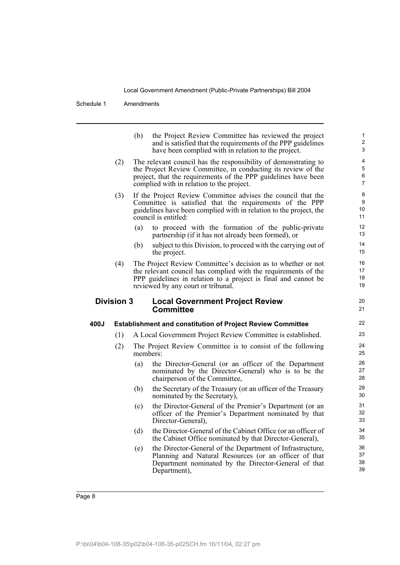|      |                   | (b)<br>the Project Review Committee has reviewed the project<br>and is satisfied that the requirements of the PPP guidelines<br>have been complied with in relation to the project.                                                             | $\mathbf{1}$<br>$\overline{c}$<br>3 |
|------|-------------------|-------------------------------------------------------------------------------------------------------------------------------------------------------------------------------------------------------------------------------------------------|-------------------------------------|
|      | (2)               | The relevant council has the responsibility of demonstrating to<br>the Project Review Committee, in conducting its review of the<br>project, that the requirements of the PPP guidelines have been<br>complied with in relation to the project. | 4<br>5<br>$\,6\,$<br>$\overline{7}$ |
|      | (3)               | If the Project Review Committee advises the council that the<br>Committee is satisfied that the requirements of the PPP<br>guidelines have been complied with in relation to the project, the<br>council is entitled:                           | 8<br>9<br>10<br>11                  |
|      |                   | (a)<br>to proceed with the formation of the public-private<br>partnership (if it has not already been formed), or                                                                                                                               | 12<br>13                            |
|      |                   | (b)<br>subject to this Division, to proceed with the carrying out of<br>the project.                                                                                                                                                            | 14<br>15                            |
|      | (4)               | The Project Review Committee's decision as to whether or not<br>the relevant council has complied with the requirements of the<br>PPP guidelines in relation to a project is final and cannot be<br>reviewed by any court or tribunal.          | 16<br>17<br>18<br>19                |
|      | <b>Division 3</b> | <b>Local Government Project Review</b><br><b>Committee</b>                                                                                                                                                                                      | 20<br>21                            |
| 400J |                   | <b>Establishment and constitution of Project Review Committee</b>                                                                                                                                                                               | 22                                  |
|      | (1)               | A Local Government Project Review Committee is established.                                                                                                                                                                                     | 23                                  |
|      | (2)               | The Project Review Committee is to consist of the following<br>members:                                                                                                                                                                         | 24<br>25                            |
|      |                   | the Director-General (or an officer of the Department<br>(a)<br>nominated by the Director-General) who is to be the<br>chairperson of the Committee,                                                                                            | 26<br>27<br>28                      |
|      |                   | (b)<br>the Secretary of the Treasury (or an officer of the Treasury<br>nominated by the Secretary),                                                                                                                                             | 29<br>30                            |
|      |                   | the Director-General of the Premier's Department (or an<br>(c)<br>officer of the Premier's Department nominated by that<br>Director-General),                                                                                                   | 31<br>32<br>33                      |
|      |                   | (d)<br>the Director-General of the Cabinet Office (or an officer of<br>the Cabinet Office nominated by that Director-General),                                                                                                                  | 34<br>35                            |
|      |                   | the Director-General of the Department of Infrastructure,<br>(e)<br>Planning and Natural Resources (or an officer of that<br>Department nominated by the Director-General of that                                                               | 36<br>37<br>38<br>39                |
|      |                   | Department),                                                                                                                                                                                                                                    |                                     |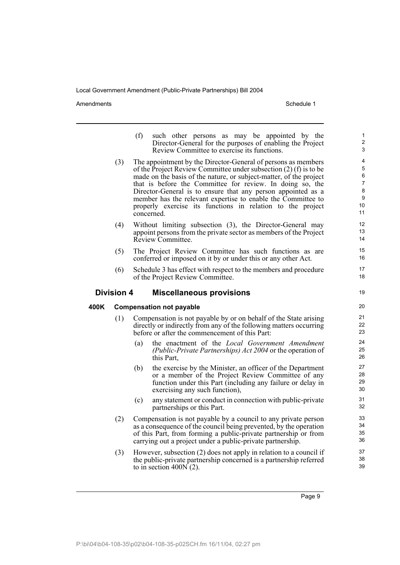Amendments Schedule 1

**400K** 

|    |                   | (f) | such other persons as may be appointed by the<br>Director-General for the purposes of enabling the Project<br>Review Committee to exercise its functions.                                                                                                                                                                                                                                                                                                                         | 1<br>2<br>3                                         |
|----|-------------------|-----|-----------------------------------------------------------------------------------------------------------------------------------------------------------------------------------------------------------------------------------------------------------------------------------------------------------------------------------------------------------------------------------------------------------------------------------------------------------------------------------|-----------------------------------------------------|
|    | (3)               |     | The appointment by the Director-General of persons as members<br>of the Project Review Committee under subsection (2) (f) is to be<br>made on the basis of the nature, or subject-matter, of the project<br>that is before the Committee for review. In doing so, the<br>Director-General is to ensure that any person appointed as a<br>member has the relevant expertise to enable the Committee to<br>properly exercise its functions in relation to the project<br>concerned. | 4<br>5<br>6<br>$\overline{7}$<br>8<br>9<br>10<br>11 |
|    | (4)               |     | Without limiting subsection (3), the Director-General may<br>appoint persons from the private sector as members of the Project<br>Review Committee.                                                                                                                                                                                                                                                                                                                               | 12<br>13<br>14                                      |
|    | (5)               |     | The Project Review Committee has such functions as are<br>conferred or imposed on it by or under this or any other Act.                                                                                                                                                                                                                                                                                                                                                           | 15<br>16                                            |
|    | (6)               |     | Schedule 3 has effect with respect to the members and procedure<br>of the Project Review Committee.                                                                                                                                                                                                                                                                                                                                                                               | 17<br>18                                            |
|    | <b>Division 4</b> |     | <b>Miscellaneous provisions</b>                                                                                                                                                                                                                                                                                                                                                                                                                                                   | 19                                                  |
| 0K |                   |     | <b>Compensation not payable</b>                                                                                                                                                                                                                                                                                                                                                                                                                                                   | 20                                                  |
|    | (1)               |     | Compensation is not payable by or on behalf of the State arising<br>directly or indirectly from any of the following matters occurring<br>before or after the commencement of this Part:                                                                                                                                                                                                                                                                                          | 21<br>22<br>23                                      |
|    |                   | (a) | the enactment of the <i>Local Government Amendment</i><br>(Public-Private Partnerships) Act 2004 or the operation of<br>this Part.                                                                                                                                                                                                                                                                                                                                                | 24<br>25<br>26                                      |
|    |                   | (b) | the exercise by the Minister, an officer of the Department<br>or a member of the Project Review Committee of any<br>function under this Part (including any failure or delay in<br>exercising any such function),                                                                                                                                                                                                                                                                 | 27<br>28<br>29<br>30                                |
|    |                   |     |                                                                                                                                                                                                                                                                                                                                                                                                                                                                                   | 31                                                  |
|    |                   | (c) | any statement or conduct in connection with public-private<br>partnerships or this Part.                                                                                                                                                                                                                                                                                                                                                                                          | 32                                                  |
|    | (2)               |     | Compensation is not payable by a council to any private person<br>as a consequence of the council being prevented, by the operation<br>of this Part, from forming a public-private partnership or from<br>carrying out a project under a public-private partnership.                                                                                                                                                                                                              | 33<br>34<br>35<br>36                                |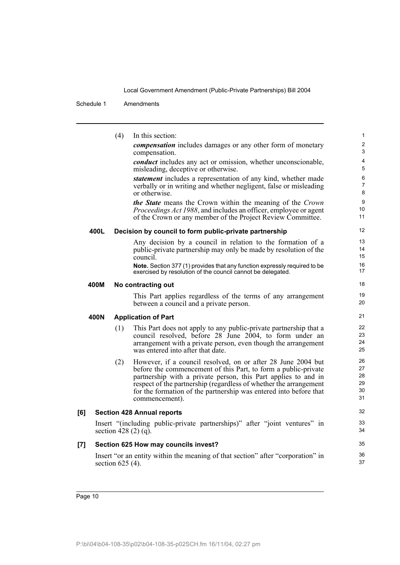|     |      | (4)                | In this section:                                                                                                                                                                                                                                                                                                                                             | $\mathbf{1}$                     |
|-----|------|--------------------|--------------------------------------------------------------------------------------------------------------------------------------------------------------------------------------------------------------------------------------------------------------------------------------------------------------------------------------------------------------|----------------------------------|
|     |      |                    | <i>compensation</i> includes damages or any other form of monetary<br>compensation.                                                                                                                                                                                                                                                                          | $\overline{2}$<br>3              |
|     |      |                    | <i>conduct</i> includes any act or omission, whether unconscionable,<br>misleading, deceptive or otherwise.                                                                                                                                                                                                                                                  | 4<br>5                           |
|     |      |                    | statement includes a representation of any kind, whether made<br>verbally or in writing and whether negligent, false or misleading<br>or otherwise.                                                                                                                                                                                                          | 6<br>7<br>8                      |
|     |      |                    | the State means the Crown within the meaning of the Crown<br><i>Proceedings Act 1988</i> , and includes an officer, employee or agent<br>of the Crown or any member of the Project Review Committee.                                                                                                                                                         | 9<br>10<br>11                    |
|     | 400L |                    | Decision by council to form public-private partnership                                                                                                                                                                                                                                                                                                       | 12                               |
|     |      |                    | Any decision by a council in relation to the formation of a<br>public-private partnership may only be made by resolution of the<br>council.                                                                                                                                                                                                                  | 13<br>14<br>15                   |
|     |      |                    | Note. Section 377 (1) provides that any function expressly required to be<br>exercised by resolution of the council cannot be delegated.                                                                                                                                                                                                                     | 16<br>17                         |
|     | 400M |                    | No contracting out                                                                                                                                                                                                                                                                                                                                           | 18                               |
|     |      |                    | This Part applies regardless of the terms of any arrangement<br>between a council and a private person.                                                                                                                                                                                                                                                      | 19<br>20                         |
|     | 400N |                    | <b>Application of Part</b>                                                                                                                                                                                                                                                                                                                                   | 21                               |
|     |      | (1)                | This Part does not apply to any public-private partnership that a<br>council resolved, before 28 June 2004, to form under an<br>arrangement with a private person, even though the arrangement<br>was entered into after that date.                                                                                                                          | 22<br>23<br>24<br>25             |
|     |      | (2)                | However, if a council resolved, on or after 28 June 2004 but<br>before the commencement of this Part, to form a public-private<br>partnership with a private person, this Part applies to and in<br>respect of the partnership (regardless of whether the arrangement<br>for the formation of the partnership was entered into before that<br>commencement). | 26<br>27<br>28<br>29<br>30<br>31 |
| [6] |      |                    | <b>Section 428 Annual reports</b>                                                                                                                                                                                                                                                                                                                            | 32                               |
|     |      |                    | Insert "(including public-private partnerships)" after "joint ventures" in<br>section 428 (2) (q).                                                                                                                                                                                                                                                           | 33<br>34                         |
| [7] |      |                    | Section 625 How may councils invest?                                                                                                                                                                                                                                                                                                                         | 35                               |
|     |      | section $625(4)$ . | Insert "or an entity within the meaning of that section" after "corporation" in                                                                                                                                                                                                                                                                              | 36<br>37                         |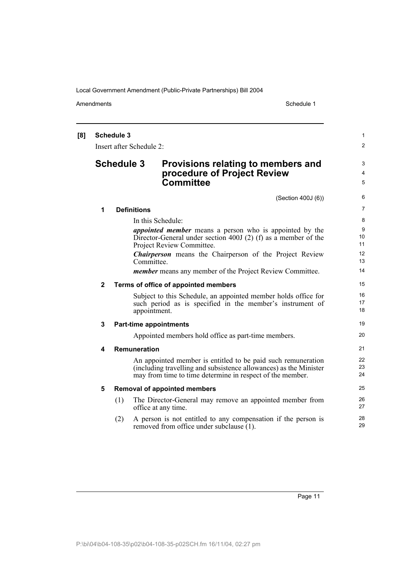Amendments Schedule 1

| [8] |              | <b>Schedule 3</b><br>Insert after Schedule 2: |                                                                                                                                                                                                | $\mathbf{1}$<br>2            |
|-----|--------------|-----------------------------------------------|------------------------------------------------------------------------------------------------------------------------------------------------------------------------------------------------|------------------------------|
|     |              | <b>Schedule 3</b>                             | Provisions relating to members and<br>procedure of Project Review<br><b>Committee</b>                                                                                                          | 3<br>$\overline{4}$<br>5     |
|     |              |                                               | (Section 400J (6))                                                                                                                                                                             | 6                            |
|     | 1            | <b>Definitions</b>                            |                                                                                                                                                                                                | $\overline{7}$               |
|     |              |                                               | In this Schedule:                                                                                                                                                                              | 8                            |
|     |              |                                               | <i>appointed member</i> means a person who is appointed by the<br>Director-General under section 400J $(2)$ (f) as a member of the<br>Project Review Committee.                                | $\boldsymbol{9}$<br>10<br>11 |
|     |              | Committee.                                    | <b>Chairperson</b> means the Chairperson of the Project Review                                                                                                                                 | 12<br>13                     |
|     |              |                                               | <i>member</i> means any member of the Project Review Committee.                                                                                                                                | 14                           |
|     | $\mathbf{2}$ |                                               | Terms of office of appointed members                                                                                                                                                           | 15                           |
|     |              | appointment.                                  | Subject to this Schedule, an appointed member holds office for<br>such period as is specified in the member's instrument of                                                                    | 16<br>17<br>18               |
|     | 3            | <b>Part-time appointments</b>                 |                                                                                                                                                                                                | 19                           |
|     |              |                                               | Appointed members hold office as part-time members.                                                                                                                                            | 20                           |
|     | 4            | Remuneration                                  |                                                                                                                                                                                                | 21                           |
|     |              |                                               | An appointed member is entitled to be paid such remuneration<br>(including travelling and subsistence allowances) as the Minister<br>may from time to time determine in respect of the member. | 22<br>23<br>24               |
|     | 5            |                                               | <b>Removal of appointed members</b>                                                                                                                                                            | 25                           |
|     |              | (1)                                           | The Director-General may remove an appointed member from<br>office at any time.                                                                                                                | 26<br>27                     |
|     |              | (2)                                           | A person is not entitled to any compensation if the person is<br>removed from office under subclause $(1)$ .                                                                                   | 28<br>29                     |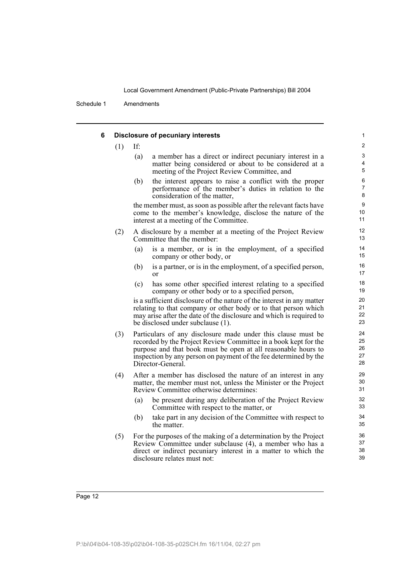Schedule 1 Amendments

#### **6 Disclosure of pecuniary interests**  $(1)$  If: (a) a member has a direct or indirect pecuniary interest in a matter being considered or about to be considered at a meeting of the Project Review Committee, and (b) the interest appears to raise a conflict with the proper performance of the member's duties in relation to the consideration of the matter, the member must, as soon as possible after the relevant facts have come to the member's knowledge, disclose the nature of the interest at a meeting of the Committee. (2) A disclosure by a member at a meeting of the Project Review Committee that the member: (a) is a member, or is in the employment, of a specified company or other body, or (b) is a partner, or is in the employment, of a specified person, or (c) has some other specified interest relating to a specified company or other body or to a specified person, is a sufficient disclosure of the nature of the interest in any matter relating to that company or other body or to that person which may arise after the date of the disclosure and which is required to be disclosed under subclause (1). (3) Particulars of any disclosure made under this clause must be recorded by the Project Review Committee in a book kept for the purpose and that book must be open at all reasonable hours to inspection by any person on payment of the fee determined by the Director-General. (4) After a member has disclosed the nature of an interest in any matter, the member must not, unless the Minister or the Project Review Committee otherwise determines: (a) be present during any deliberation of the Project Review Committee with respect to the matter, or (b) take part in any decision of the Committee with respect to the matter. (5) For the purposes of the making of a determination by the Project Review Committee under subclause (4), a member who has a direct or indirect pecuniary interest in a matter to which the 1  $\overline{2}$  $\mathbf{\overline{3}}$ 4 5 6 7 8 9  $1<sub>0</sub>$ 11 12 13 14 15 16 17 18 19  $20$ 21 22 23 24 25 26 27 28 29 30 31 32 33 34 35 36 37 38

39

disclosure relates must not: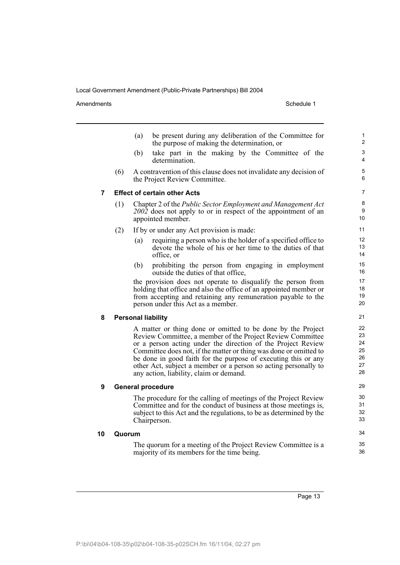Amendments Schedule 1

**10** 

|   |        | (a) | be present during any deliberation of the Committee for<br>the purpose of making the determination, or                                                                                                                                                                                                                                                                                                                                         | 1<br>2                                 |
|---|--------|-----|------------------------------------------------------------------------------------------------------------------------------------------------------------------------------------------------------------------------------------------------------------------------------------------------------------------------------------------------------------------------------------------------------------------------------------------------|----------------------------------------|
|   |        | (b) | take part in the making by the Committee of the<br>determination.                                                                                                                                                                                                                                                                                                                                                                              | 3<br>4                                 |
|   | (6)    |     | A contravention of this clause does not invalidate any decision of<br>the Project Review Committee.                                                                                                                                                                                                                                                                                                                                            | 5<br>6                                 |
| 7 |        |     | <b>Effect of certain other Acts</b>                                                                                                                                                                                                                                                                                                                                                                                                            | 7                                      |
|   | (1)    |     | Chapter 2 of the Public Sector Employment and Management Act<br>2002 does not apply to or in respect of the appointment of an<br>appointed member.                                                                                                                                                                                                                                                                                             | 8<br>9<br>10                           |
|   | (2)    |     | If by or under any Act provision is made:                                                                                                                                                                                                                                                                                                                                                                                                      | 11                                     |
|   |        | (a) | requiring a person who is the holder of a specified office to<br>devote the whole of his or her time to the duties of that<br>office, or                                                                                                                                                                                                                                                                                                       | 12<br>13<br>14                         |
|   |        | (b) | prohibiting the person from engaging in employment<br>outside the duties of that office,                                                                                                                                                                                                                                                                                                                                                       | 15<br>16                               |
|   |        |     | the provision does not operate to disqualify the person from                                                                                                                                                                                                                                                                                                                                                                                   | 17<br>18                               |
|   |        |     | holding that office and also the office of an appointed member or<br>from accepting and retaining any remuneration payable to the<br>person under this Act as a member.                                                                                                                                                                                                                                                                        | 19<br>20                               |
| 8 |        |     | <b>Personal liability</b>                                                                                                                                                                                                                                                                                                                                                                                                                      | 21                                     |
|   |        |     | A matter or thing done or omitted to be done by the Project<br>Review Committee, a member of the Project Review Committee<br>or a person acting under the direction of the Project Review<br>Committee does not, if the matter or thing was done or omitted to<br>be done in good faith for the purpose of executing this or any<br>other Act, subject a member or a person so acting personally to<br>any action, liability, claim or demand. | 22<br>23<br>24<br>25<br>26<br>27<br>28 |
| 9 |        |     | <b>General procedure</b>                                                                                                                                                                                                                                                                                                                                                                                                                       | 29                                     |
|   |        |     | The procedure for the calling of meetings of the Project Review<br>Committee and for the conduct of business at those meetings is,<br>subject to this Act and the regulations, to be as determined by the<br>Chairperson.                                                                                                                                                                                                                      | 30<br>31<br>32<br>33                   |
| 0 | Quorum |     |                                                                                                                                                                                                                                                                                                                                                                                                                                                | 34                                     |
|   |        |     | The quorum for a meeting of the Project Review Committee is a<br>majority of its members for the time being.                                                                                                                                                                                                                                                                                                                                   | 35<br>36                               |
|   |        |     |                                                                                                                                                                                                                                                                                                                                                                                                                                                |                                        |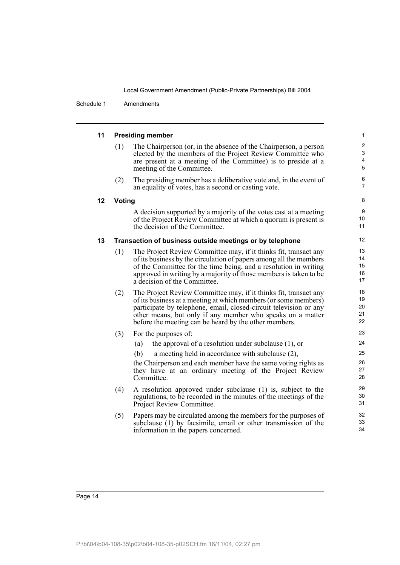| 11 | (1)    | <b>Presiding member</b><br>The Chairperson (or, in the absence of the Chairperson, a person                                                                            | $\mathbf{1}$<br>$\boldsymbol{2}$ |
|----|--------|------------------------------------------------------------------------------------------------------------------------------------------------------------------------|----------------------------------|
|    |        | elected by the members of the Project Review Committee who                                                                                                             | $\ensuremath{\mathsf{3}}$        |
|    |        | are present at a meeting of the Committee) is to preside at a<br>meeting of the Committee.                                                                             | $\overline{\mathbf{4}}$<br>5     |
|    | (2)    | The presiding member has a deliberative vote and, in the event of<br>an equality of votes, has a second or casting vote.                                               | 6<br>$\overline{7}$              |
| 12 | Voting |                                                                                                                                                                        |                                  |
|    |        | A decision supported by a majority of the votes cast at a meeting<br>of the Project Review Committee at which a quorum is present is<br>the decision of the Committee. | $\boldsymbol{9}$<br>10<br>11     |
| 13 |        | Transaction of business outside meetings or by telephone                                                                                                               | 12                               |
|    | (1)    | The Project Review Committee may, if it thinks fit, transact any                                                                                                       | 13                               |
|    |        | of its business by the circulation of papers among all the members                                                                                                     | 14                               |
|    |        | of the Committee for the time being, and a resolution in writing                                                                                                       | 15<br>16                         |
|    |        | approved in writing by a majority of those members is taken to be<br>a decision of the Committee.                                                                      | 17                               |
|    | (2)    | The Project Review Committee may, if it thinks fit, transact any                                                                                                       | 18                               |
|    |        | of its business at a meeting at which members (or some members)                                                                                                        | 19<br>20                         |
|    |        | participate by telephone, email, closed-circuit television or any<br>other means, but only if any member who speaks on a matter                                        | 21                               |
|    |        | before the meeting can be heard by the other members.                                                                                                                  | 22                               |
|    | (3)    | For the purposes of:                                                                                                                                                   | 23                               |
|    |        | the approval of a resolution under subclause $(1)$ , or<br>(a)                                                                                                         | 24                               |
|    |        | (b)<br>a meeting held in accordance with subclause (2),                                                                                                                | 25                               |
|    |        | the Chairperson and each member have the same voting rights as                                                                                                         | 26                               |
|    |        | they have at an ordinary meeting of the Project Review<br>Committee.                                                                                                   | 27<br>28                         |
|    | (4)    | A resolution approved under subclause (1) is, subject to the                                                                                                           | 29                               |
|    |        | regulations, to be recorded in the minutes of the meetings of the<br>Project Review Committee.                                                                         | 30<br>31                         |
|    | (5)    | Papers may be circulated among the members for the purposes of                                                                                                         | 32                               |
|    |        | subclause (1) by facsimile, email or other transmission of the<br>information in the papers concerned.                                                                 | 33<br>34                         |